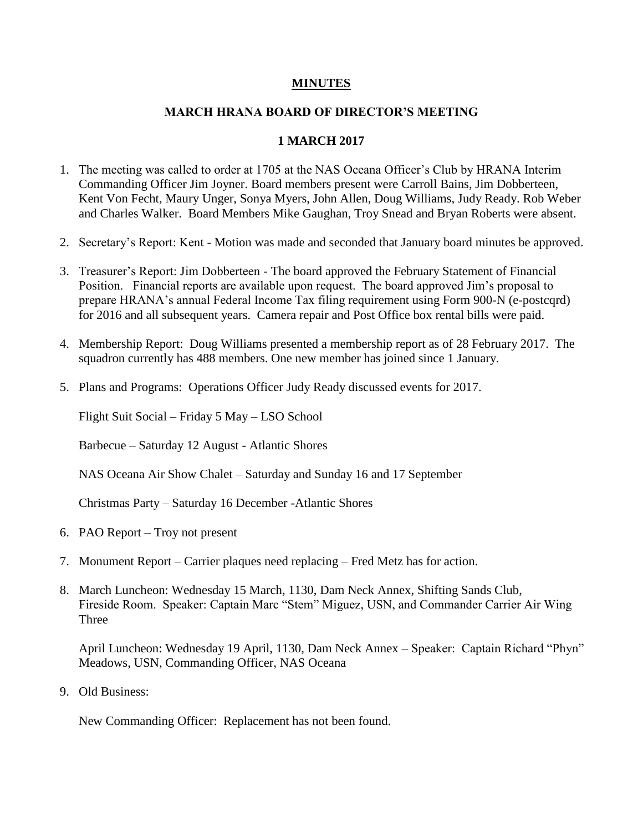## **MINUTES**

## **MARCH HRANA BOARD OF DIRECTOR'S MEETING**

## **1 MARCH 2017**

- 1. The meeting was called to order at 1705 at the NAS Oceana Officer's Club by HRANA Interim Commanding Officer Jim Joyner. Board members present were Carroll Bains, Jim Dobberteen, Kent Von Fecht, Maury Unger, Sonya Myers, John Allen, Doug Williams, Judy Ready. Rob Weber and Charles Walker. Board Members Mike Gaughan, Troy Snead and Bryan Roberts were absent.
- 2. Secretary's Report: Kent Motion was made and seconded that January board minutes be approved.
- 3. Treasurer's Report: Jim Dobberteen The board approved the February Statement of Financial Position. Financial reports are available upon request. The board approved Jim's proposal to prepare HRANA's annual Federal Income Tax filing requirement using Form 900-N (e-postcqrd) for 2016 and all subsequent years. Camera repair and Post Office box rental bills were paid.
- 4. Membership Report: Doug Williams presented a membership report as of 28 February 2017. The squadron currently has 488 members. One new member has joined since 1 January.
- 5. Plans and Programs: Operations Officer Judy Ready discussed events for 2017.

Flight Suit Social – Friday 5 May – LSO School

Barbecue – Saturday 12 August - Atlantic Shores

NAS Oceana Air Show Chalet – Saturday and Sunday 16 and 17 September

Christmas Party – Saturday 16 December -Atlantic Shores

- 6. PAO Report Troy not present
- 7. Monument Report Carrier plaques need replacing Fred Metz has for action.
- 8. March Luncheon: Wednesday 15 March, 1130, Dam Neck Annex, Shifting Sands Club, Fireside Room. Speaker: Captain Marc "Stem" Miguez, USN, and Commander Carrier Air Wing **Three**

April Luncheon: Wednesday 19 April, 1130, Dam Neck Annex – Speaker: Captain Richard "Phyn" Meadows, USN, Commanding Officer, NAS Oceana

9. Old Business:

New Commanding Officer: Replacement has not been found.